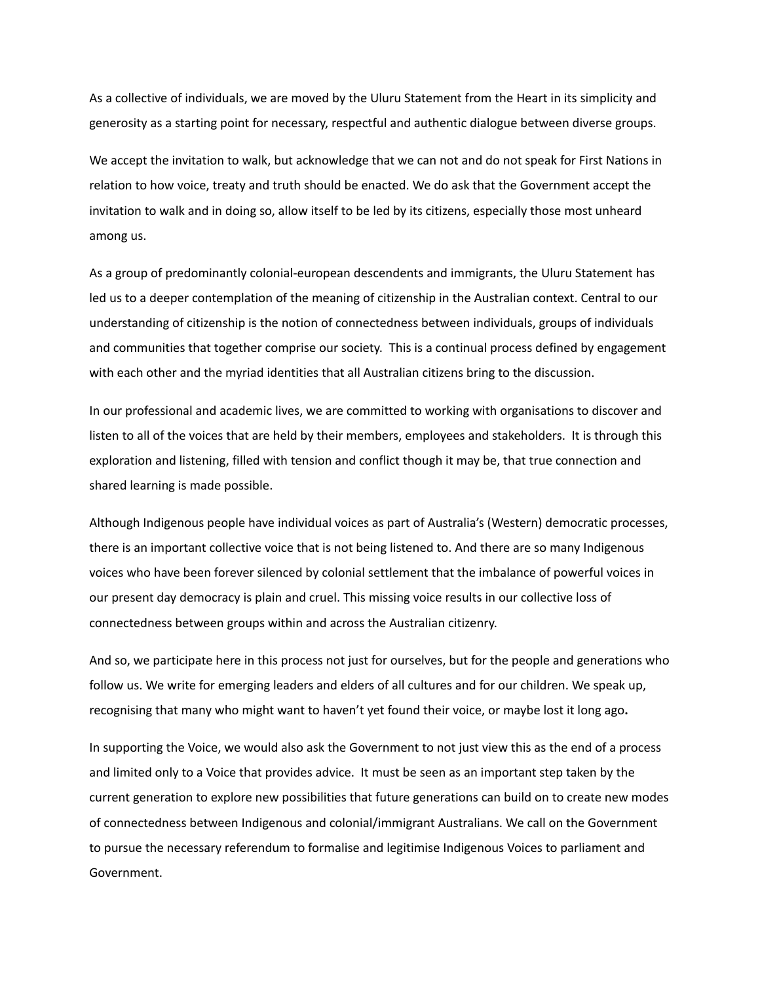As a collective of individuals, we are moved by the Uluru Statement from the Heart in its simplicity and generosity as a starting point for necessary, respectful and authentic dialogue between diverse groups.

 We accept the invitation to walk, but acknowledge that we can not and do not speak for First Nations in relation to how voice, treaty and truth should be enacted. We do ask that the Government accept the invitation to walk and in doing so, allow itself to be led by its citizens, especially those most unheard among us.

 As a group of predominantly colonial-european descendents and immigrants, the Uluru Statement has led us to a deeper contemplation of the meaning of citizenship in the Australian context. Central to our understanding of citizenship is the notion of connectedness between individuals, groups of individuals and communities that together comprise our society. This is a continual process defined by engagement with each other and the myriad identities that all Australian citizens bring to the discussion.

 In our professional and academic lives, we are committed to working with organisations to discover and listen to all of the voices that are held by their members, employees and stakeholders. It is through this exploration and listening, filled with tension and conflict though it may be, that true connection and shared learning is made possible.

 Although Indigenous people have individual voices as part of Australia's (Western) democratic processes, there is an important collective voice that is not being listened to. And there are so many Indigenous voices who have been forever silenced by colonial settlement that the imbalance of powerful voices in our present day democracy is plain and cruel. This missing voice results in our collective loss of connectedness between groups within and across the Australian citizenry.

 And so, we participate here in this process not just for ourselves, but for the people and generations who follow us. We write for emerging leaders and elders of all cultures and for our children. We speak up, recognising that many who might want to haven't yet found their voice, or maybe lost it long ago**.**

 In supporting the Voice, we would also ask the Government to not just view this as the end of a process and limited only to a Voice that provides advice. It must be seen as an important step taken by the current generation to explore new possibilities that future generations can build on to create new modes of connectedness between Indigenous and colonial/immigrant Australians. We call on the Government to pursue the necessary referendum to formalise and legitimise Indigenous Voices to parliament and Government.